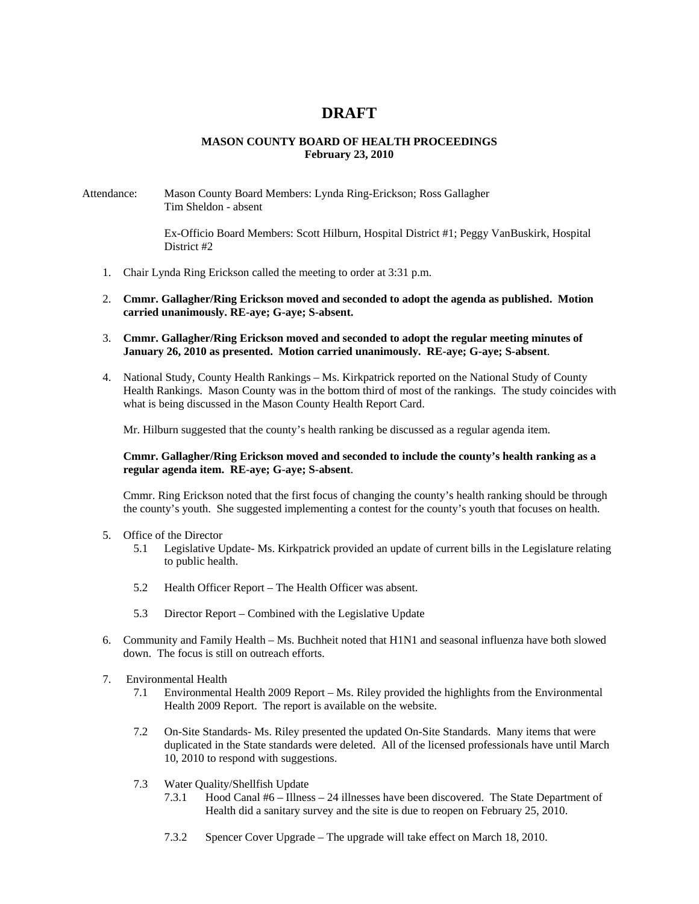# **DRAFT**

## **MASON COUNTY BOARD OF HEALTH PROCEEDINGS February 23, 2010**

#### Attendance: Mason County Board Members: Lynda Ring-Erickson; Ross Gallagher Tim Sheldon - absent

Ex-Officio Board Members: Scott Hilburn, Hospital District #1; Peggy VanBuskirk, Hospital District #2

- 1. Chair Lynda Ring Erickson called the meeting to order at 3:31 p.m.
- 2. **Cmmr. Gallagher/Ring Erickson moved and seconded to adopt the agenda as published. Motion carried unanimously. RE-aye; G-aye; S-absent.**
- 3. **Cmmr. Gallagher/Ring Erickson moved and seconded to adopt the regular meeting minutes of January 26, 2010 as presented. Motion carried unanimously. RE-aye; G-aye; S-absent**.
- 4. National Study, County Health Rankings Ms. Kirkpatrick reported on the National Study of County Health Rankings. Mason County was in the bottom third of most of the rankings. The study coincides with what is being discussed in the Mason County Health Report Card.

Mr. Hilburn suggested that the county's health ranking be discussed as a regular agenda item.

### **Cmmr. Gallagher/Ring Erickson moved and seconded to include the county's health ranking as a regular agenda item. RE-aye; G-aye; S-absent**.

Cmmr. Ring Erickson noted that the first focus of changing the county's health ranking should be through the county's youth. She suggested implementing a contest for the county's youth that focuses on health.

- 5. Office of the Director
	- 5.1 Legislative Update- Ms. Kirkpatrick provided an update of current bills in the Legislature relating to public health.
	- 5.2 Health Officer Report The Health Officer was absent.
	- 5.3 Director Report Combined with the Legislative Update
- 6. Community and Family Health Ms. Buchheit noted that H1N1 and seasonal influenza have both slowed down. The focus is still on outreach efforts.
- 7. Environmental Health
	- 7.1 Environmental Health 2009 Report Ms. Riley provided the highlights from the Environmental Health 2009 Report. The report is available on the website.
	- 7.2 On-Site Standards- Ms. Riley presented the updated On-Site Standards. Many items that were duplicated in the State standards were deleted. All of the licensed professionals have until March 10, 2010 to respond with suggestions.
	- 7.3 Water Quality/Shellfish Update<br>7.3.1 Hood Canal #6 Illnes
		- Hood Canal #6 Illness 24 illnesses have been discovered. The State Department of Health did a sanitary survey and the site is due to reopen on February 25, 2010.
		- 7.3.2 Spencer Cover Upgrade The upgrade will take effect on March 18, 2010.